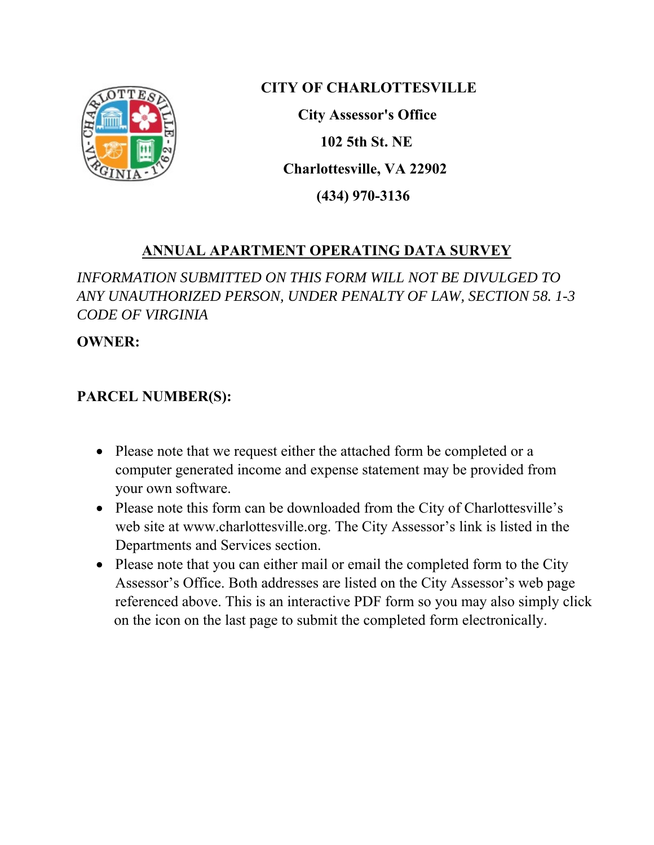

**CITY OF CHARLOTTESVILLE** 

 **City Assessor's Office 102 5th St. NE Charlottesville, VA 22902 (434) 970-3136** 

## **ANNUAL APARTMENT OPERATING DATA SURVEY**

*INFORMATION SUBMITTED ON THIS FORM WILL NOT BE DIVULGED TO ANY UNAUTHORIZED PERSON, UNDER PENALTY OF LAW, SECTION 58. 1-3 CODE OF VIRGINIA* 

**OWNER:** 

## **PARCEL NUMBER(S):**

- Please note that we request either the attached form be completed or a computer generated income and expense statement may be provided from your own software.
- Please note this form can be downloaded from the City of Charlottesville's web site at www.charlottesville.org. The City Assessor's link is listed in the Departments and Services section.
- Please note that you can either mail or email the completed form to the City Assessor's Office. Both addresses are listed on the City Assessor's web page referenced above. This is an interactive PDF form so you may also simply click on the icon on the last page to submit the completed form electronically.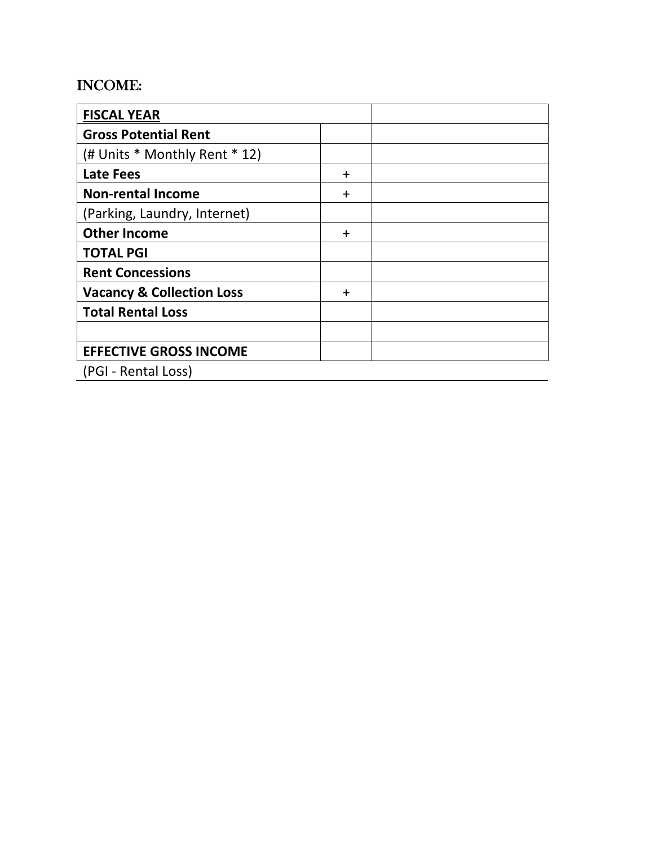## INCOME:

| <b>FISCAL YEAR</b>                   |           |  |
|--------------------------------------|-----------|--|
| <b>Gross Potential Rent</b>          |           |  |
| (# Units * Monthly Rent * 12)        |           |  |
| Late Fees                            | $\ddot{}$ |  |
| <b>Non-rental Income</b>             | $\div$    |  |
| (Parking, Laundry, Internet)         |           |  |
| <b>Other Income</b>                  | $\ddot{}$ |  |
| <b>TOTAL PGI</b>                     |           |  |
| <b>Rent Concessions</b>              |           |  |
| <b>Vacancy &amp; Collection Loss</b> | $\ddot{}$ |  |
| <b>Total Rental Loss</b>             |           |  |
|                                      |           |  |
| <b>EFFECTIVE GROSS INCOME</b>        |           |  |
| (PGI - Rental Loss)                  |           |  |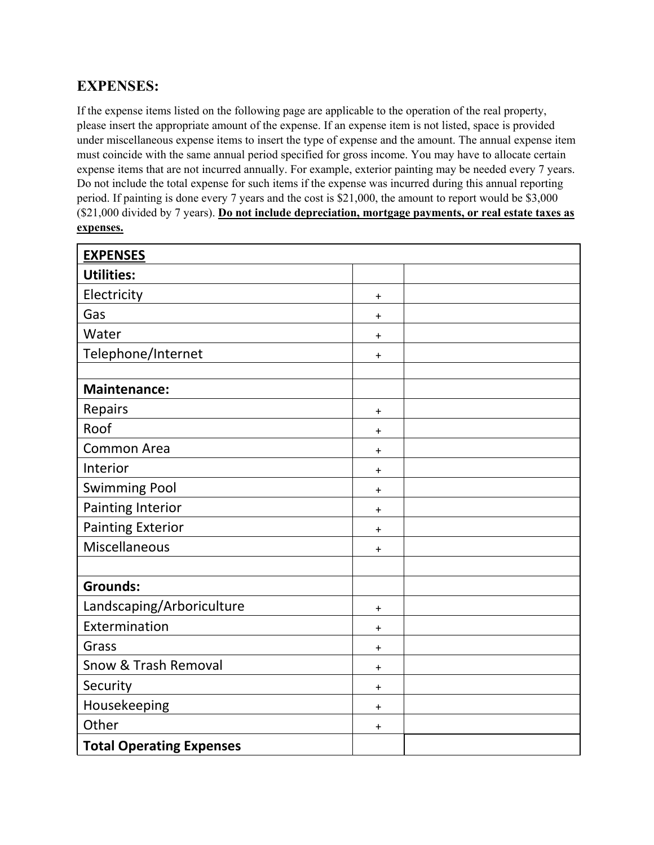## **EXPENSES:**

If the expense items listed on the following page are applicable to the operation of the real property, please insert the appropriate amount of the expense. If an expense item is not listed, space is provided under miscellaneous expense items to insert the type of expense and the amount. The annual expense item must coincide with the same annual period specified for gross income. You may have to allocate certain expense items that are not incurred annually. For example, exterior painting may be needed every 7 years. Do not include the total expense for such items if the expense was incurred during this annual reporting period. If painting is done every 7 years and the cost is \$21,000, the amount to report would be \$3,000 (\$21,000 divided by 7 years). **Do not include depreciation, mortgage payments, or real estate taxes as expenses.**

| <b>EXPENSES</b>                 |           |  |
|---------------------------------|-----------|--|
| <b>Utilities:</b>               |           |  |
| Electricity                     | $\ddot{}$ |  |
| Gas                             | $\ddot{}$ |  |
| Water                           | $\ddot{}$ |  |
| Telephone/Internet              | $\ddot{}$ |  |
|                                 |           |  |
| <b>Maintenance:</b>             |           |  |
| Repairs                         | $\ddot{}$ |  |
| Roof                            | $\ddot{}$ |  |
| <b>Common Area</b>              | $\ddot{}$ |  |
| Interior                        | $\ddot{}$ |  |
| <b>Swimming Pool</b>            | $\ddot{}$ |  |
| <b>Painting Interior</b>        | $\ddot{}$ |  |
| <b>Painting Exterior</b>        | $\ddot{}$ |  |
| Miscellaneous                   | $\ddot{}$ |  |
|                                 |           |  |
| <b>Grounds:</b>                 |           |  |
| Landscaping/Arboriculture       | $\ddot{}$ |  |
| Extermination                   | $\ddot{}$ |  |
| Grass                           | $\ddot{}$ |  |
| Snow & Trash Removal            | $\ddot{}$ |  |
| Security                        | $\ddot{}$ |  |
| Housekeeping                    | $\ddot{}$ |  |
| Other                           | $\ddot{}$ |  |
| <b>Total Operating Expenses</b> |           |  |